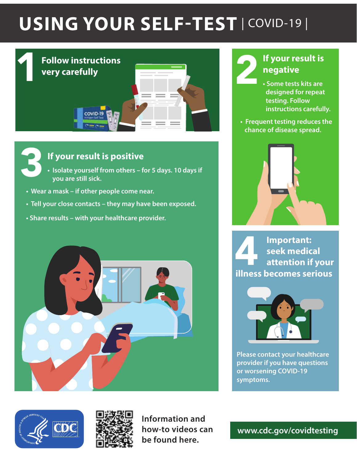# USING YOUR SELF-TEST | COVID-19 |





## **If your result is positive**

- **Isolate yourself from others for 5 days. 10 days if you are still sick.**
- **Wear a mask if other people come near.**
- **Tell your close contacts they may have been exposed.**
- **Share results with your healthcare provider.**







**Information and how-to videos can be found here.** 

# **If your result is negative**

- **Some tests kits are designed for repeat testing. Follow instructions carefully.**
- **Frequent testing reduces the chance of disease spread.**



**Important: seek medical attention if your illness becomes serious** 



**Please contact your healthcare provider if you have questions or worsening COVID-19 symptoms.**

**www.cdc.gov/covidtesting**